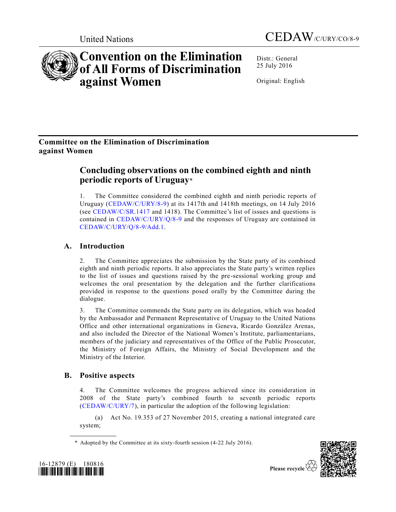



# **Convention on the Elimination of All Forms of Discrimination against Women**

Distr.: General 25 July 2016

Original: English

# **Committee on the Elimination of Discrimination against Women**

# **Concluding observations on the combined eighth and ninth periodic reports of Uruguay**\*

1. The Committee considered the combined eighth and ninth periodic reports of Uruguay [\(CEDAW/C/URY/8-9\)](http://undocs.org/CEDAW/C/URY/8) at its 1417th and 1418th meetings, on 14 July 2016 (see [CEDAW/C/SR.1417](http://undocs.org/CEDAW/C/SR.1417) and 1418). The Committee's list of issues and questions is contained in [CEDAW/C/URY/Q/8-9](http://undocs.org/CEDAW/C/URY/Q/8) and the responses of Uruguay are contained in [CEDAW/C/URY/Q/8-9/Add.1.](http://undocs.org/CEDAW/C/URY/Q/8-9/Add.1)

# **A. Introduction**

2. The Committee appreciates the submission by the State party of its combined eighth and ninth periodic reports. It also appreciates the State party's written replies to the list of issues and questions raised by the pre-sessional working group and welcomes the oral presentation by the delegation and the further clarifications provided in response to the questions posed orally by the Committee during the dialogue.

3. The Committee commends the State party on its delegation, which was headed by the Ambassador and Permanent Representative of Uruguay to the United Nations Office and other international organizations in Geneva, Ricardo González Arenas, and also included the Director of the National Women's Institute, parliamentarians, members of the judiciary and representatives of the Office of the Public Prosecutor, the Ministry of Foreign Affairs, the Ministry of Social Development and the Ministry of the Interior.

# **B. Positive aspects**

4. The Committee welcomes the progress achieved since its consideration in 2008 of the State party's combined fourth to seventh periodic reports [\(CEDAW/C/URY/7\)](http://undocs.org/CEDAW/C/URY/7), in particular the adoption of the following legislation:

(a) Act No. 19.353 of 27 November 2015, creating a national integrated care system;

\* Adopted by the Committee at its sixty-fourth session (4-22 July 2016).



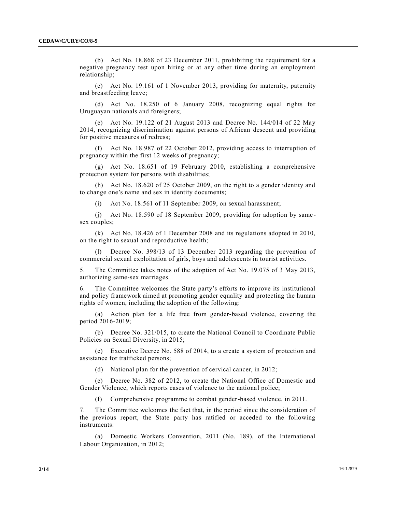(b) Act No. 18.868 of 23 December 2011, prohibiting the requirement for a negative pregnancy test upon hiring or at any other time during an employment relationship;

(c) Act No. 19.161 of 1 November 2013, providing for maternity, paternity and breastfeeding leave;

(d) Act No. 18.250 of 6 January 2008, recognizing equal rights for Uruguayan nationals and foreigners;

(e) Act No. 19.122 of 21 August 2013 and Decree No. 144/014 of 22 May 2014, recognizing discrimination against persons of African descent and providing for positive measures of redress;

Act No. 18.987 of 22 October 2012, providing access to interruption of pregnancy within the first 12 weeks of pregnancy;

(g) Act No. 18.651 of 19 February 2010, establishing a comprehensive protection system for persons with disabilities;

(h) Act No. 18.620 of 25 October 2009, on the right to a gender identity and to change one's name and sex in identity documents;

(i) Act No. 18.561 of 11 September 2009, on sexual harassment;

(j) Act No. 18.590 of 18 September 2009, providing for adoption by same sex couples;

(k) Act No. 18.426 of 1 December 2008 and its regulations adopted in 2010, on the right to sexual and reproductive health;

(l) Decree No. 398/13 of 13 December 2013 regarding the prevention of commercial sexual exploitation of girls, boys and adolescents in tourist activities.

5. The Committee takes notes of the adoption of Act No. 19.075 of 3 May 2013, authorizing same-sex marriages.

6. The Committee welcomes the State party's efforts to improve its institutional and policy framework aimed at promoting gender equality and protecting the human rights of women, including the adoption of the following:

(a) Action plan for a life free from gender-based violence, covering the period 2016-2019;

(b) Decree No. 321/015, to create the National Council to Coordinate Public Policies on Sexual Diversity, in 2015;

(c) Executive Decree No. 588 of 2014, to a create a system of protection and assistance for trafficked persons;

(d) National plan for the prevention of cervical cancer, in 2012;

(e) Decree No. 382 of 2012, to create the National Office of Domestic and Gender Violence, which reports cases of violence to the national police;

(f) Comprehensive programme to combat gender-based violence, in 2011.

7. The Committee welcomes the fact that, in the period since the consideration of the previous report, the State party has ratified or acceded to the following instruments:

(a) Domestic Workers Convention, 2011 (No. 189), of the International Labour Organization, in 2012;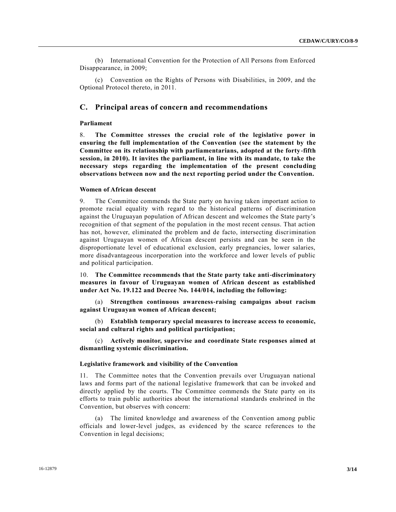(b) International Convention for the Protection of All Persons from Enforced Disappearance, in 2009;

(c) Convention on the Rights of Persons with Disabilities, in 2009, and the Optional Protocol thereto, in 2011.

# **C. Principal areas of concern and recommendations**

# **Parliament**

8. **The Committee stresses the crucial role of the legislative power in ensuring the full implementation of the Convention (see the statement by the Committee on its relationship with parliamentarians, adopted at the forty-fifth session, in 2010). It invites the parliament, in line with its mandate, to take the necessary steps regarding the implementation of the present concluding observations between now and the next reporting period under the Convention.**

# **Women of African descent**

9. The Committee commends the State party on having taken important action to promote racial equality with regard to the historical patterns of discrimination against the Uruguayan population of African descent and welcomes the State party's recognition of that segment of the population in the most recent census. That action has not, however, eliminated the problem and de facto, intersecting discrimination against Uruguayan women of African descent persists and can be seen in the disproportionate level of educational exclusion, early pregnancies, lower salaries, more disadvantageous incorporation into the workforce and lower levels of public and political participation.

10. **The Committee recommends that the State party take anti-discriminatory measures in favour of Uruguayan women of African descent as established under Act No. 19.122 and Decree No. 144/014, including the following:**

(a) **Strengthen continuous awareness-raising campaigns about racism against Uruguayan women of African descent;**

(b) **Establish temporary special measures to increase access to economic, social and cultural rights and political participation;**

(c) **Actively monitor, supervise and coordinate State responses aimed at dismantling systemic discrimination.**

# **Legislative framework and visibility of the Convention**

11. The Committee notes that the Convention prevails over Uruguayan national laws and forms part of the national legislative framework that can be invoked and directly applied by the courts. The Committee commends the State party on its efforts to train public authorities about the international standards enshrined in the Convention, but observes with concern:

(a) The limited knowledge and awareness of the Convention among public officials and lower-level judges, as evidenced by the scarce references to the Convention in legal decisions;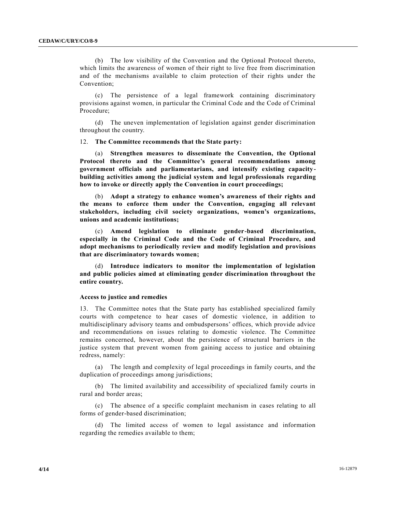(b) The low visibility of the Convention and the Optional Protocol thereto, which limits the awareness of women of their right to live free from discrimination and of the mechanisms available to claim protection of their rights under the Convention;

(c) The persistence of a legal framework containing discriminatory provisions against women, in particular the Criminal Code and the Code of Criminal Procedure;

(d) The uneven implementation of legislation against gender discrimination throughout the country.

# 12. **The Committee recommends that the State party:**

(a) **Strengthen measures to disseminate the Convention, the Optional Protocol thereto and the Committee's general recommendations among government officials and parliamentarians, and intensify existing capacitybuilding activities among the judicial system and legal professionals regarding how to invoke or directly apply the Convention in court proceedings;**

(b) **Adopt a strategy to enhance women's awareness of their rights and the means to enforce them under the Convention, engaging all relevant stakeholders, including civil society organizations, women's organizations, unions and academic institutions;**

(c) **Amend legislation to eliminate gender-based discrimination, especially in the Criminal Code and the Code of Criminal Procedure, and adopt mechanisms to periodically review and modify legislation and provisions that are discriminatory towards women;**

(d) **Introduce indicators to monitor the implementation of legislation and public policies aimed at eliminating gender discrimination throughout the entire country.**

# **Access to justice and remedies**

13. The Committee notes that the State party has established specialized family courts with competence to hear cases of domestic violence, in addition to multidisciplinary advisory teams and ombudspersons' offices, which provide advice and recommendations on issues relating to domestic violence. The Committee remains concerned, however, about the persistence of structural barriers in the justice system that prevent women from gaining access to justice and obtaining redress, namely:

(a) The length and complexity of legal proceedings in family courts, and the duplication of proceedings among jurisdictions;

(b) The limited availability and accessibility of specialized family courts in rural and border areas;

(c) The absence of a specific complaint mechanism in cases relating to all forms of gender-based discrimination;

(d) The limited access of women to legal assistance and information regarding the remedies available to them;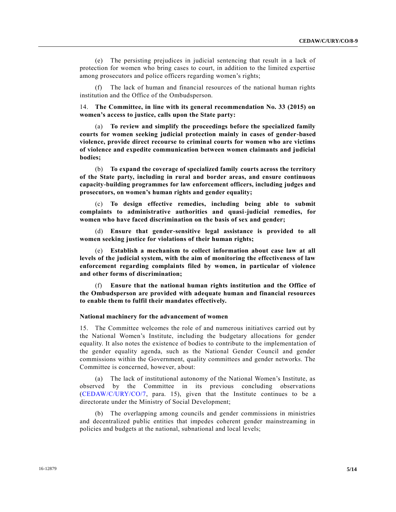(e) The persisting prejudices in judicial sentencing that result in a lack of protection for women who bring cases to court, in addition to the limited expertise among prosecutors and police officers regarding women's rights;

(f) The lack of human and financial resources of the national human rights institution and the Office of the Ombudsperson.

14. **The Committee, in line with its general recommendation No. 33 (2015) on women's access to justice, calls upon the State party:**

(a) **To review and simplify the proceedings before the specialized family courts for women seeking judicial protection mainly in cases of gender-based violence, provide direct recourse to criminal courts for women who are victims of violence and expedite communication between women claimants and judicial bodies;** 

(b) **To expand the coverage of specialized family courts across the territory of the State party, including in rural and border areas, and ensure continuous capacity-building programmes for law enforcement officers, including judges and prosecutors, on women's human rights and gender equality;**

(c) **To design effective remedies, including being able to submit complaints to administrative authorities and quasi-judicial remedies, for women who have faced discrimination on the basis of sex and gender;**

(d) **Ensure that gender-sensitive legal assistance is provided to all women seeking justice for violations of their human rights;**

**Establish a mechanism to collect information about case law at all levels of the judicial system, with the aim of monitoring the effectiveness of law enforcement regarding complaints filed by women, in particular of violence and other forms of discrimination;**

(f) **Ensure that the national human rights institution and the Office of the Ombudsperson are provided with adequate human and financial resources to enable them to fulfil their mandates effectively.**

# **National machinery for the advancement of women**

15. The Committee welcomes the role of and numerous initiatives carried out by the National Women's Institute, including the budgetary allocations for gender equality. It also notes the existence of bodies to contribute to the implementation of the gender equality agenda, such as the National Gender Council and gender commissions within the Government, quality committees and gender networks. The Committee is concerned, however, about:

(a) The lack of institutional autonomy of the National Women's Institute, as observed by the Committee in its previous concluding observations [\(CEDAW/C/URY/CO/7,](http://undocs.org/CEDAW/C/URY/CO/7) para. 15), given that the Institute continues to be a directorate under the Ministry of Social Development;

(b) The overlapping among councils and gender commissions in ministries and decentralized public entities that impedes coherent gender mainstreaming in policies and budgets at the national, subnational and local levels;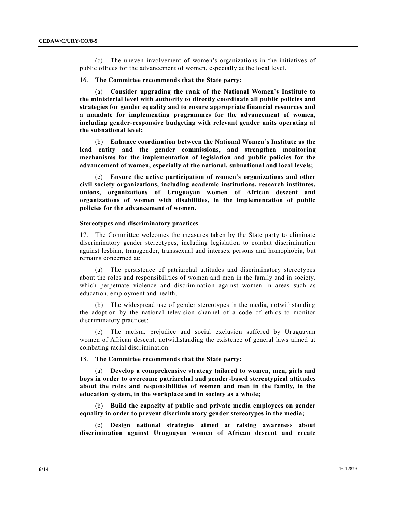(c) The uneven involvement of women's organizations in the initiatives of public offices for the advancement of women, especially at the local level.

# 16. **The Committee recommends that the State party:**

(a) **Consider upgrading the rank of the National Women's Institute to the ministerial level with authority to directly coordinate all public policies and strategies for gender equality and to ensure appropriate financial resources and a mandate for implementing programmes for the advancement of women, including gender-responsive budgeting with relevant gender units operating at the subnational level;** 

(b) **Enhance coordination between the National Women's Institute as the lead entity and the gender commissions, and strengthen monitoring mechanisms for the implementation of legislation and public policies for the advancement of women, especially at the national, subnational and local levels;** 

(c) **Ensure the active participation of women's organizations and other civil society organizations, including academic institutions, research institutes, unions, organizations of Uruguayan women of African descent and organizations of women with disabilities, in the implementation of public policies for the advancement of women.**

### **Stereotypes and discriminatory practices**

17. The Committee welcomes the measures taken by the State party to eliminate discriminatory gender stereotypes, including legislation to combat discrimination against lesbian, transgender, transsexual and intersex persons and homophobia, but remains concerned at:

(a) The persistence of patriarchal attitudes and discriminatory stereotypes about the roles and responsibilities of women and men in the family and in society, which perpetuate violence and discrimination against women in areas such as education, employment and health;

(b) The widespread use of gender stereotypes in the media, notwithstanding the adoption by the national television channel of a code of ethics to monitor discriminatory practices;

(c) The racism, prejudice and social exclusion suffered by Uruguayan women of African descent, notwithstanding the existence of general laws aimed at combating racial discrimination.

### 18. **The Committee recommends that the State party:**

(a) **Develop a comprehensive strategy tailored to women, men, girls and boys in order to overcome patriarchal and gender-based stereotypical attitudes about the roles and responsibilities of women and men in the family, in the education system, in the workplace and in society as a whole;**

(b) **Build the capacity of public and private media employees on gender equality in order to prevent discriminatory gender stereotypes in the media;**

(c) **Design national strategies aimed at raising awareness about discrimination against Uruguayan women of African descent and create**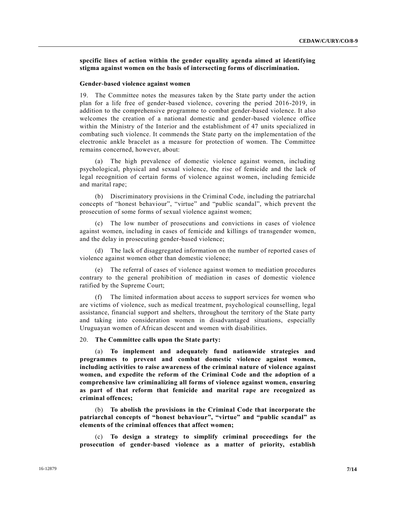**specific lines of action within the gender equality agenda aimed at identifying stigma against women on the basis of intersecting forms of discrimination.**

#### **Gender-based violence against women**

19. The Committee notes the measures taken by the State party under the action plan for a life free of gender-based violence, covering the period 2016-2019, in addition to the comprehensive programme to combat gender-based violence. It also welcomes the creation of a national domestic and gender-based violence office within the Ministry of the Interior and the establishment of 47 units specialized in combating such violence. It commends the State party on the implementation of the electronic ankle bracelet as a measure for protection of women. The Committee remains concerned, however, about:

(a) The high prevalence of domestic violence against women, including psychological, physical and sexual violence, the rise of femicide and the lack of legal recognition of certain forms of violence against women, including femicide and marital rape;

(b) Discriminatory provisions in the Criminal Code, including the patriarchal concepts of "honest behaviour", "virtue" and "public scandal", which prevent the prosecution of some forms of sexual violence against women;

The low number of prosecutions and convictions in cases of violence against women, including in cases of femicide and killings of transgender women, and the delay in prosecuting gender-based violence;

(d) The lack of disaggregated information on the number of reported cases of violence against women other than domestic violence;

(e) The referral of cases of violence against women to mediation procedures contrary to the general prohibition of mediation in cases of domestic violence ratified by the Supreme Court;

(f) The limited information about access to support services for women who are victims of violence, such as medical treatment, psychological counselling, legal assistance, financial support and shelters, throughout the territory of the State party and taking into consideration women in disadvantaged situations, especially Uruguayan women of African descent and women with disabilities.

# 20. **The Committee calls upon the State party:**

(a) **To implement and adequately fund nationwide strategies and programmes to prevent and combat domestic violence against women, including activities to raise awareness of the criminal nature of violence against women, and expedite the reform of the Criminal Code and the adoption of a comprehensive law criminalizing all forms of violence against women, ensuring as part of that reform that femicide and marital rape are recognized as criminal offences;**

(b) **To abolish the provisions in the Criminal Code that incorporate the patriarchal concepts of "honest behaviour", "virtue" and "public scandal" as elements of the criminal offences that affect women;**

(c) **To design a strategy to simplify criminal proceedings for the prosecution of gender-based violence as a matter of priority, establish**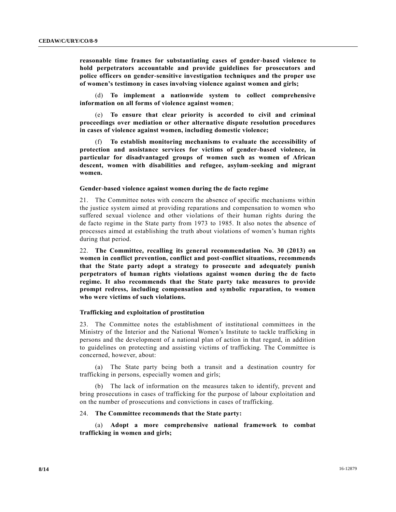**reasonable time frames for substantiating cases of gender-based violence to hold perpetrators accountable and provide guidelines for prosecutors and police officers on gender-sensitive investigation techniques and the proper use of women's testimony in cases involving violence against women and girls;**

(d) **To implement a nationwide system to collect comprehensive information on all forms of violence against women**;

(e) **To ensure that clear priority is accorded to civil and criminal proceedings over mediation or other alternative dispute resolution procedures in cases of violence against women, including domestic violence;**

(f) **To establish monitoring mechanisms to evaluate the accessibility of protection and assistance services for victims of gender-based violence, in particular for disadvantaged groups of women such as women of African descent, women with disabilities and refugee, asylum-seeking and migrant women.**

# **Gender-based violence against women during the de facto regime**

21. The Committee notes with concern the absence of specific mechanisms within the justice system aimed at providing reparations and compensation to women who suffered sexual violence and other violations of their human rights during the de facto regime in the State party from 1973 to 1985. It also notes the absence of processes aimed at establishing the truth about violations of women's human rights during that period.

22. **The Committee, recalling its general recommendation No. 30 (2013) on women in conflict prevention, conflict and post-conflict situations, recommends that the State party adopt a strategy to prosecute and adequately punish perpetrators of human rights violations against women during the de facto regime. It also recommends that the State party take measures to provide prompt redress, including compensation and symbolic reparation, to women who were victims of such violations.**

# **Trafficking and exploitation of prostitution**

23. The Committee notes the establishment of institutional committees in the Ministry of the Interior and the National Women's Institute to tackle trafficking in persons and the development of a national plan of action in that regard, in addition to guidelines on protecting and assisting victims of trafficking. The Committee is concerned, however, about:

(a) The State party being both a transit and a destination country for trafficking in persons, especially women and girls;

(b) The lack of information on the measures taken to identify, prevent and bring prosecutions in cases of trafficking for the purpose of labour exploitation and on the number of prosecutions and convictions in cases of trafficking.

# 24. **The Committee recommends that the State party:**

(a) **Adopt a more comprehensive national framework to combat trafficking in women and girls;**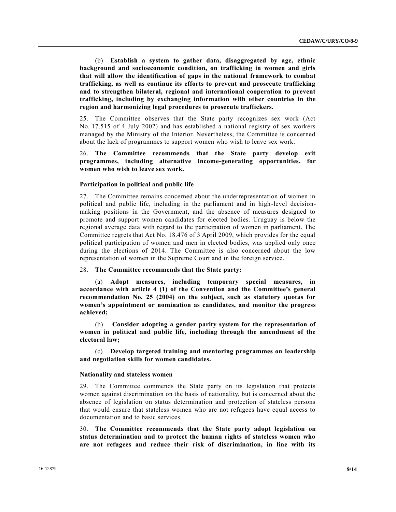(b) **Establish a system to gather data, disaggregated by age, ethnic background and socioeconomic condition, on trafficking in women and girls that will allow the identification of gaps in the national framework to combat trafficking, as well as continue its efforts to prevent and prosecute trafficking and to strengthen bilateral, regional and international cooperation to prevent trafficking, including by exchanging information with other countries in the region and harmonizing legal procedures to prosecute traffickers.** 

25. The Committee observes that the State party recognizes sex work (Act No. 17.515 of 4 July 2002) and has established a national registry of sex workers managed by the Ministry of the Interior. Nevertheless, the Committee is concerned about the lack of programmes to support women who wish to leave sex work.

# 26. **The Committee recommends that the State party develop exit programmes, including alternative income-generating opportunities, for women who wish to leave sex work.**

# **Participation in political and public life**

27. The Committee remains concerned about the underrepresentation of women in political and public life, including in the parliament and in high-level decisionmaking positions in the Government, and the absence of measures designed to promote and support women candidates for elected bodies. Uruguay is below the regional average data with regard to the participation of women in parliament. The Committee regrets that Act No. 18.476 of 3 April 2009, which provides for the equal political participation of women and men in elected bodies, was applied only once during the elections of 2014. The Committee is also concerned about the low representation of women in the Supreme Court and in the foreign service.

# 28. **The Committee recommends that the State party:**

(a) **Adopt measures, including temporary special measures, in accordance with article 4 (1) of the Convention and the Committee's general recommendation No. 25 (2004) on the subject, such as statutory quotas for women's appointment or nomination as candidates, and monitor the progress achieved;** 

(b) **Consider adopting a gender parity system for the representation of women in political and public life, including through the amendment of the electoral law;**

(c) **Develop targeted training and mentoring programmes on leadership and negotiation skills for women candidates.**

#### **Nationality and stateless women**

29. The Committee commends the State party on its legislation that protects women against discrimination on the basis of nationality, but is concerned about the absence of legislation on status determination and protection of stateless persons that would ensure that stateless women who are not refugees have equal access to documentation and to basic services.

30. **The Committee recommends that the State party adopt legislation on status determination and to protect the human rights of stateless women who are not refugees and reduce their risk of discrimination, in line with its**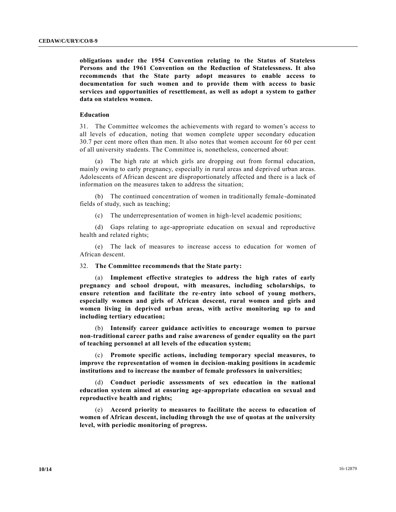**obligations under the 1954 Convention relating to the Status of Stateless Persons and the 1961 Convention on the Reduction of Statelessness. It also recommends that the State party adopt measures to enable access to documentation for such women and to provide them with access to basic services and opportunities of resettlement, as well as adopt a system to gather data on stateless women.**

## **Education**

31. The Committee welcomes the achievements with regard to women's access to all levels of education, noting that women complete upper secondary education 30.7 per cent more often than men. It also notes that women account for 60 per cent of all university students. The Committee is, nonetheless, concerned about:

(a) The high rate at which girls are dropping out from formal education, mainly owing to early pregnancy, especially in rural areas and deprived urban areas. Adolescents of African descent are disproportionately affected and there is a lack of information on the measures taken to address the situation;

(b) The continued concentration of women in traditionally female-dominated fields of study, such as teaching;

(c) The underrepresentation of women in high-level academic positions;

(d) Gaps relating to age-appropriate education on sexual and reproductive health and related rights;

(e) The lack of measures to increase access to education for women of African descent.

# 32. **The Committee recommends that the State party:**

(a) **Implement effective strategies to address the high rates of early pregnancy and school dropout, with measures, including scholarships, to ensure retention and facilitate the re-entry into school of young mothers, especially women and girls of African descent, rural women and girls and women living in deprived urban areas, with active monitoring up to and including tertiary education;**

(b) **Intensify career guidance activities to encourage women to pursue non-traditional career paths and raise awareness of gender equality on the part of teaching personnel at all levels of the education system;**

(c) **Promote specific actions, including temporary special measures, to improve the representation of women in decision-making positions in academic institutions and to increase the number of female professors in universities;**

(d) **Conduct periodic assessments of sex education in the national education system aimed at ensuring age-appropriate education on sexual and reproductive health and rights;**

(e) **Accord priority to measures to facilitate the access to education of women of African descent, including through the use of quotas at the university level, with periodic monitoring of progress.**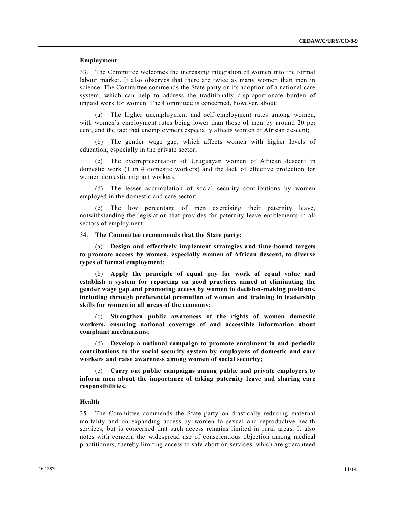# **Employment**

33. The Committee welcomes the increasing integration of women into the formal labour market. It also observes that there are twice as many women than men in science. The Committee commends the State party on its adoption of a national care system, which can help to address the traditionally disproportionate burden of unpaid work for women. The Committee is concerned, however, about:

(a) The higher unemployment and self-employment rates among women, with women's employment rates being lower than those of men by around 20 per cent, and the fact that unemployment especially affects women of African descent;

(b) The gender wage gap, which affects women with higher levels of education, especially in the private sector;

(c) The overrepresentation of Uruguayan women of African descent in domestic work (1 in 4 domestic workers) and the lack of effective protection for women domestic migrant workers;

(d) The lesser accumulation of social security contributions by women employed in the domestic and care sector;

(e) The low percentage of men exercising their paternity leave, notwithstanding the legislation that provides for paternity leave entitlements in all sectors of employment.

# 34. **The Committee recommends that the State party:**

(a) **Design and effectively implement strategies and time-bound targets to promote access by women, especially women of African descent, to diverse types of formal employment;**

(b) **Apply the principle of equal pay for work of equal value and establish a system for reporting on good practices aimed at eliminating the gender wage gap and promoting access by women to decision-making positions, including through preferential promotion of women and training in leadership skills for women in all areas of the economy;**

(c) **Strengthen public awareness of the rights of women domestic workers, ensuring national coverage of and accessible information about complaint mechanisms;**

(d) **Develop a national campaign to promote enrolment in and periodic contributions to the social security system by employers of domestic and care workers and raise awareness among women of social security;**

(e) **Carry out public campaigns among public and private employers to inform men about the importance of taking paternity leave and sharing care responsibilities.**

# **Health**

35. The Committee commends the State party on drastically reducing maternal mortality and on expanding access by women to sexual and reproductive health services, but is concerned that such access remains limited in rural areas. It also notes with concern the widespread use of conscientious objection among medical practitioners, thereby limiting access to safe abortion services, which are guaranteed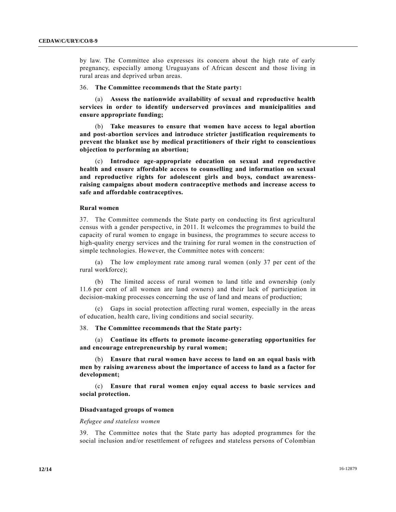by law. The Committee also expresses its concern about the high rate of early pregnancy, especially among Uruguayans of African descent and those living in rural areas and deprived urban areas.

# 36. **The Committee recommends that the State party:**

(a) **Assess the nationwide availability of sexual and reproductive health services in order to identify underserved provinces and municipalities and ensure appropriate funding;**

(b) **Take measures to ensure that women have access to legal abortion and post-abortion services and introduce stricter justification requirements to prevent the blanket use by medical practitioners of their right to conscientious objection to performing an abortion;**

(c) **Introduce age-appropriate education on sexual and reproductive health and ensure affordable access to counselling and information on sexual and reproductive rights for adolescent girls and boys, conduct awarenessraising campaigns about modern contraceptive methods and increase access to safe and affordable contraceptives.**

#### **Rural women**

37. The Committee commends the State party on conducting its first agricultural census with a gender perspective, in 2011. It welcomes the programmes to build the capacity of rural women to engage in business, the programmes to secure access to high-quality energy services and the training for rural women in the construction of simple technologies. However, the Committee notes with concern:

(a) The low employment rate among rural women (only 37 per cent of the rural workforce);

(b) The limited access of rural women to land title and ownership (only 11.6 per cent of all women are land owners) and their lack of participation in decision-making processes concerning the use of land and means of production;

(c) Gaps in social protection affecting rural women, especially in the areas of education, health care, living conditions and social security.

# 38. **The Committee recommends that the State party:**

(a) **Continue its efforts to promote income-generating opportunities for and encourage entrepreneurship by rural women;**

(b) **Ensure that rural women have access to land on an equal basis with men by raising awareness about the importance of access to land as a factor for development;**

(c) **Ensure that rural women enjoy equal access to basic services and social protection.**

# **Disadvantaged groups of women**

#### *Refugee and stateless women*

39. The Committee notes that the State party has adopted programmes for the social inclusion and/or resettlement of refugees and stateless persons of Colombian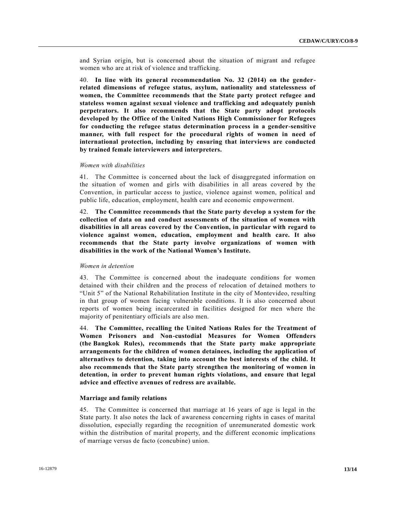and Syrian origin, but is concerned about the situation of migrant and refugee women who are at risk of violence and trafficking.

40. **In line with its general recommendation No. 32 (2014) on the genderrelated dimensions of refugee status, asylum, nationality and statelessness of women, the Committee recommends that the State party protect refugee and stateless women against sexual violence and trafficking and adequately punish perpetrators. It also recommends that the State party adopt protocols developed by the Office of the United Nations High Commissioner for Refugees for conducting the refugee status determination process in a gender-sensitive manner, with full respect for the procedural rights of women in need of international protection, including by ensuring that interviews are conducted by trained female interviewers and interpreters.**

#### *Women with disabilities*

41. The Committee is concerned about the lack of disaggregated information on the situation of women and girls with disabilities in all areas covered by the Convention, in particular access to justice, violence against women, political and public life, education, employment, health care and economic empowerment.

42. **The Committee recommends that the State party develop a system for the collection of data on and conduct assessments of the situation of women with disabilities in all areas covered by the Convention, in particular with regard to violence against women, education, employment and health care. It also recommends that the State party involve organizations of women with disabilities in the work of the National Women's Institute.**

#### *Women in detention*

43. The Committee is concerned about the inadequate conditions for women detained with their children and the process of relocation of detained mothers to "Unit 5" of the National Rehabilitation Institute in the city of Montevideo, resulting in that group of women facing vulnerable conditions. It is also concerned about reports of women being incarcerated in facilities designed for men where the majority of penitentiary officials are also men.

44. **The Committee, recalling the United Nations Rules for the Treatment of Women Prisoners and Non-custodial Measures for Women Offenders (the Bangkok Rules), recommends that the State party make appropriate arrangements for the children of women detainees, including the application of alternatives to detention, taking into account the best interests of the child. It also recommends that the State party strengthen the monitoring of women in detention, in order to prevent human rights violations, and ensure that legal advice and effective avenues of redress are available.**

# **Marriage and family relations**

45. The Committee is concerned that marriage at 16 years of age is legal in the State party. It also notes the lack of awareness concerning rights in cases of marital dissolution, especially regarding the recognition of unremunerated domestic work within the distribution of marital property, and the different economic implications of marriage versus de facto (concubine) union.